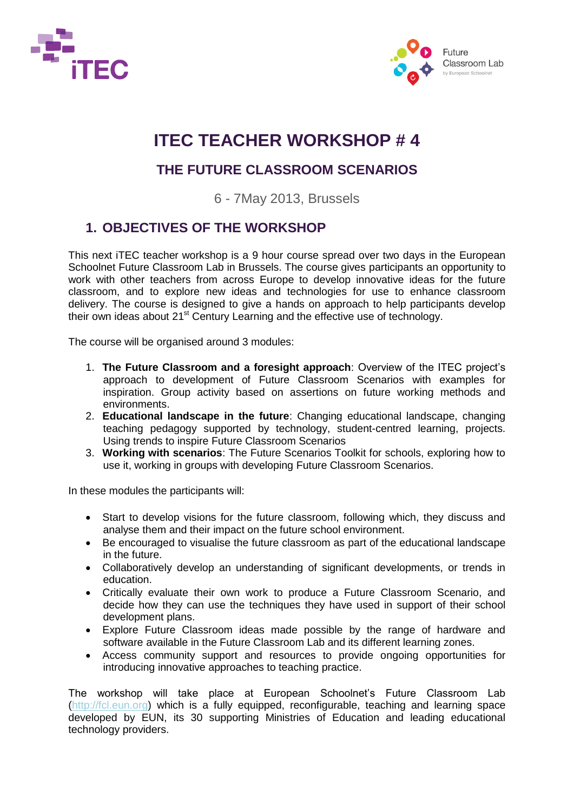



## **ITEC TEACHER WORKSHOP # 4**

### **THE FUTURE CLASSROOM SCENARIOS**

6 - 7May 2013, Brussels

### **1. OBJECTIVES OF THE WORKSHOP**

This next iTEC teacher workshop is a 9 hour course spread over two days in the European Schoolnet Future Classroom Lab in Brussels. The course gives participants an opportunity to work with other teachers from across Europe to develop innovative ideas for the future classroom, and to explore new ideas and technologies for use to enhance classroom delivery. The course is designed to give a hands on approach to help participants develop their own ideas about 21<sup>st</sup> Century Learning and the effective use of technology.

The course will be organised around 3 modules:

- 1. **The Future Classroom and a foresight approach**: Overview of the ITEC project's approach to development of Future Classroom Scenarios with examples for inspiration. Group activity based on assertions on future working methods and environments.
- 2. **Educational landscape in the future**: Changing educational landscape, changing teaching pedagogy supported by technology, student-centred learning, projects. Using trends to inspire Future Classroom Scenarios
- 3. **Working with scenarios**: The Future Scenarios Toolkit for schools, exploring how to use it, working in groups with developing Future Classroom Scenarios.

In these modules the participants will:

- Start to develop visions for the future classroom, following which, they discuss and analyse them and their impact on the future school environment.
- Be encouraged to visualise the future classroom as part of the educational landscape in the future.
- Collaboratively develop an understanding of significant developments, or trends in education.
- Critically evaluate their own work to produce a Future Classroom Scenario, and decide how they can use the techniques they have used in support of their school development plans.
- Explore Future Classroom ideas made possible by the range of hardware and software available in the Future Classroom Lab and its different learning zones.
- Access community support and resources to provide ongoing opportunities for introducing innovative approaches to teaching practice.

The workshop will take place at European Schoolnet's Future Classroom Lab [\(http://fcl.eun.org\)](http://fcl.eun.org/) which is a fully equipped, reconfigurable, teaching and learning space developed by EUN, its 30 supporting Ministries of Education and leading educational technology providers.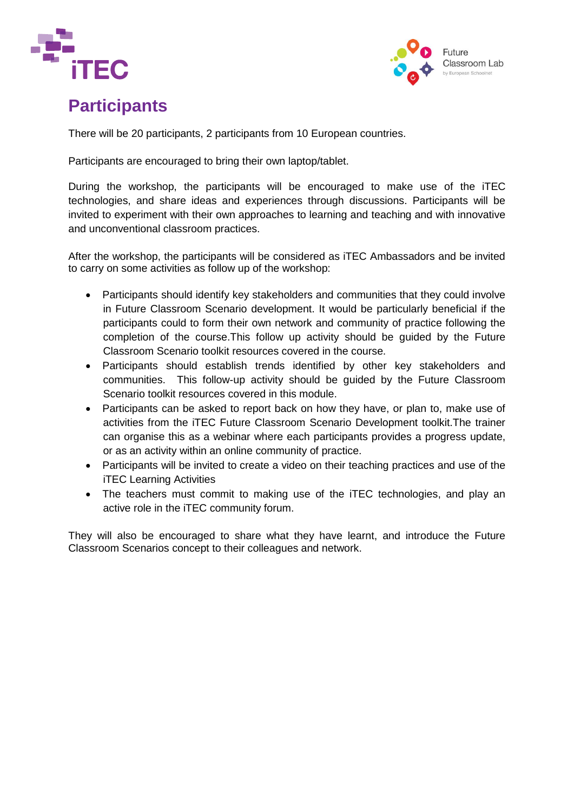



## **Participants**

There will be 20 participants, 2 participants from 10 European countries.

Participants are encouraged to bring their own laptop/tablet.

During the workshop, the participants will be encouraged to make use of the iTEC technologies, and share ideas and experiences through discussions. Participants will be invited to experiment with their own approaches to learning and teaching and with innovative and unconventional classroom practices.

After the workshop, the participants will be considered as iTEC Ambassadors and be invited to carry on some activities as follow up of the workshop:

- Participants should identify key stakeholders and communities that they could involve in Future Classroom Scenario development. It would be particularly beneficial if the participants could to form their own network and community of practice following the completion of the course.This follow up activity should be guided by the Future Classroom Scenario toolkit resources covered in the course.
- Participants should establish trends identified by other key stakeholders and communities. This follow-up activity should be guided by the Future Classroom Scenario toolkit resources covered in this module.
- Participants can be asked to report back on how they have, or plan to, make use of activities from the iTEC Future Classroom Scenario Development toolkit.The trainer can organise this as a webinar where each participants provides a progress update, or as an activity within an online community of practice.
- Participants will be invited to create a video on their teaching practices and use of the iTEC Learning Activities
- The teachers must commit to making use of the iTEC technologies, and play an active role in the iTEC community forum.

They will also be encouraged to share what they have learnt, and introduce the Future Classroom Scenarios concept to their colleagues and network.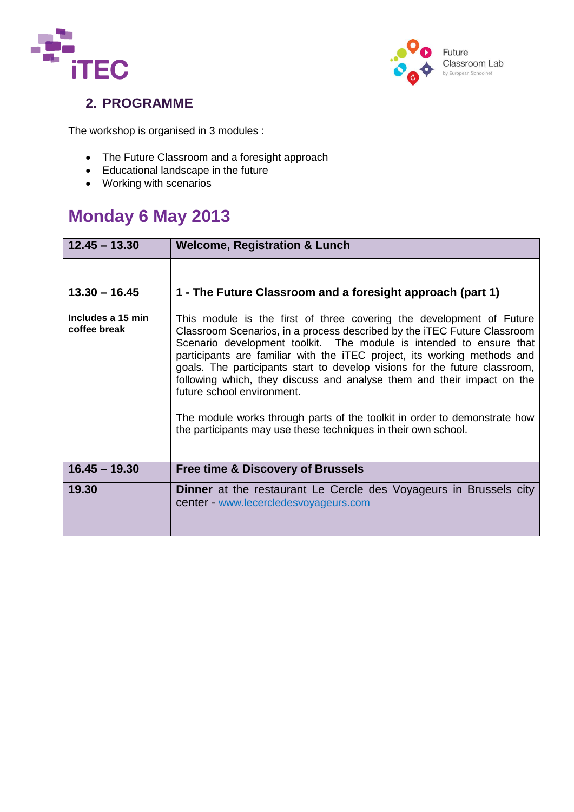



### **2. PROGRAMME**

The workshop is organised in 3 modules :

- The Future Classroom and a foresight approach
- Educational landscape in the future
- Working with scenarios

## **Monday 6 May 2013**

| $12.45 - 13.30$                   | <b>Welcome, Registration &amp; Lunch</b>                                                                                                                                                                                                                                                                                                                                                                                                                                                                                                                                                                                                 |
|-----------------------------------|------------------------------------------------------------------------------------------------------------------------------------------------------------------------------------------------------------------------------------------------------------------------------------------------------------------------------------------------------------------------------------------------------------------------------------------------------------------------------------------------------------------------------------------------------------------------------------------------------------------------------------------|
|                                   |                                                                                                                                                                                                                                                                                                                                                                                                                                                                                                                                                                                                                                          |
| $13.30 - 16.45$                   | 1 - The Future Classroom and a foresight approach (part 1)                                                                                                                                                                                                                                                                                                                                                                                                                                                                                                                                                                               |
| Includes a 15 min<br>coffee break | This module is the first of three covering the development of Future<br>Classroom Scenarios, in a process described by the iTEC Future Classroom<br>Scenario development toolkit. The module is intended to ensure that<br>participants are familiar with the iTEC project, its working methods and<br>goals. The participants start to develop visions for the future classroom,<br>following which, they discuss and analyse them and their impact on the<br>future school environment.<br>The module works through parts of the toolkit in order to demonstrate how<br>the participants may use these techniques in their own school. |
| $16.45 - 19.30$                   | <b>Free time &amp; Discovery of Brussels</b>                                                                                                                                                                                                                                                                                                                                                                                                                                                                                                                                                                                             |
| 19.30                             | <b>Dinner</b> at the restaurant Le Cercle des Voyageurs in Brussels city<br>center - www.lecercledesvoyageurs.com                                                                                                                                                                                                                                                                                                                                                                                                                                                                                                                        |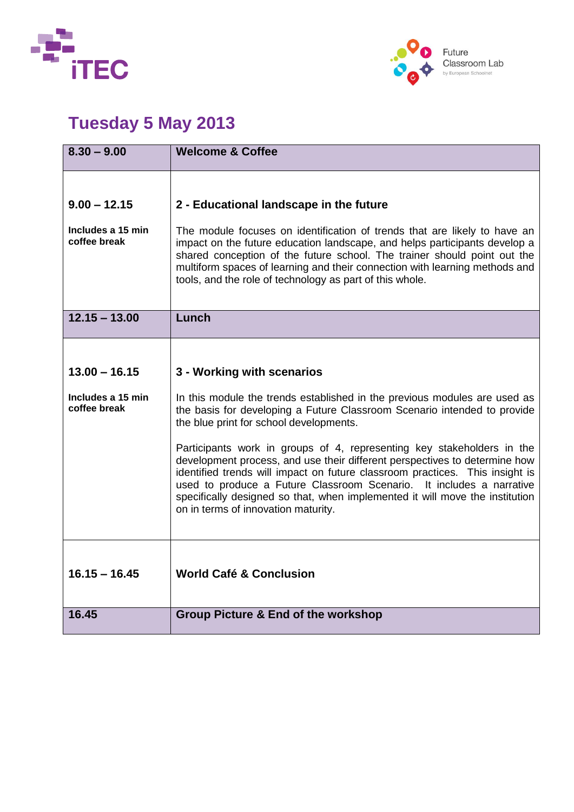



# **Tuesday 5 May 2013**

| $8.30 - 9.00$                                       | <b>Welcome &amp; Coffee</b>                                                                                                                                                                                                                                                                                                                                                                                                         |
|-----------------------------------------------------|-------------------------------------------------------------------------------------------------------------------------------------------------------------------------------------------------------------------------------------------------------------------------------------------------------------------------------------------------------------------------------------------------------------------------------------|
| $9.00 - 12.15$<br>Includes a 15 min<br>coffee break | 2 - Educational landscape in the future<br>The module focuses on identification of trends that are likely to have an<br>impact on the future education landscape, and helps participants develop a                                                                                                                                                                                                                                  |
|                                                     | shared conception of the future school. The trainer should point out the<br>multiform spaces of learning and their connection with learning methods and<br>tools, and the role of technology as part of this whole.                                                                                                                                                                                                                 |
| $12.15 - 13.00$                                     | Lunch                                                                                                                                                                                                                                                                                                                                                                                                                               |
|                                                     |                                                                                                                                                                                                                                                                                                                                                                                                                                     |
| $13.00 - 16.15$                                     | 3 - Working with scenarios                                                                                                                                                                                                                                                                                                                                                                                                          |
| Includes a 15 min<br>coffee break                   | In this module the trends established in the previous modules are used as<br>the basis for developing a Future Classroom Scenario intended to provide<br>the blue print for school developments.                                                                                                                                                                                                                                    |
|                                                     | Participants work in groups of 4, representing key stakeholders in the<br>development process, and use their different perspectives to determine how<br>identified trends will impact on future classroom practices. This insight is<br>used to produce a Future Classroom Scenario. It includes a narrative<br>specifically designed so that, when implemented it will move the institution<br>on in terms of innovation maturity. |
| $16.15 - 16.45$                                     | <b>World Café &amp; Conclusion</b>                                                                                                                                                                                                                                                                                                                                                                                                  |
| 16.45                                               | <b>Group Picture &amp; End of the workshop</b>                                                                                                                                                                                                                                                                                                                                                                                      |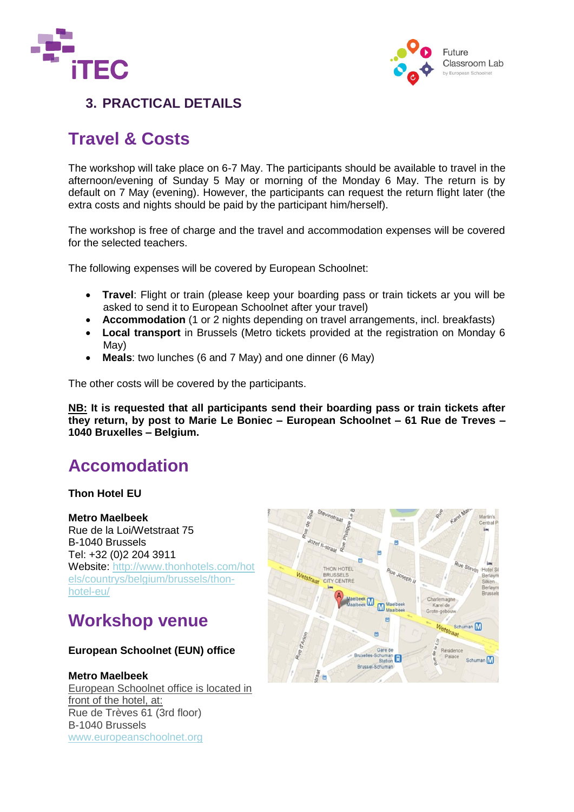



### **3. PRACTICAL DETAILS**

## **Travel & Costs**

The workshop will take place on 6-7 May. The participants should be available to travel in the afternoon/evening of Sunday 5 May or morning of the Monday 6 May. The return is by default on 7 May (evening). However, the participants can request the return flight later (the extra costs and nights should be paid by the participant him/herself).

The workshop is free of charge and the travel and accommodation expenses will be covered for the selected teachers.

The following expenses will be covered by European Schoolnet:

- **Travel**: Flight or train (please keep your boarding pass or train tickets ar you will be asked to send it to European Schoolnet after your travel)
- **Accommodation** (1 or 2 nights depending on travel arrangements, incl. breakfasts)
- **Local transport** in Brussels (Metro tickets provided at the registration on Monday 6 May)
- **Meals**: two lunches (6 and 7 May) and one dinner (6 May)

The other costs will be covered by the participants.

**NB: It is requested that all participants send their boarding pass or train tickets after they return, by post to Marie Le Boniec – European Schoolnet – 61 Rue de Treves – 1040 Bruxelles – Belgium.**

## **Accomodation**

#### **Thon Hotel EU**

#### **Metro Maelbeek**

Rue de la Loi/Wetstraat 75 B-1040 Brussels Tel: +32 (0)2 204 3911 Website: [http://www.thonhotels.com/hot](http://www.thonhotels.com/hotels/countrys/belgium/brussels/thon-hotel-eu/) [els/countrys/belgium/brussels/thon](http://www.thonhotels.com/hotels/countrys/belgium/brussels/thon-hotel-eu/)[hotel-eu/](http://www.thonhotels.com/hotels/countrys/belgium/brussels/thon-hotel-eu/)

### **Workshop venue**

#### **European Schoolnet (EUN) office**

#### **Metro Maelbeek**

European Schoolnet office is located in front of the hotel, at: Rue de Trèves 61 (3rd floor) B-1040 Brussels [www.europeanschoolnet.org](http://www.europeanschoolnet.org/)